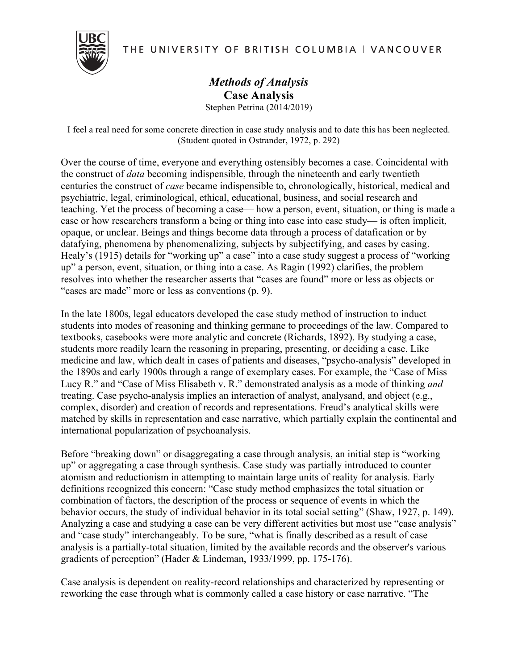THE UNIVERSITY OF BRITISH COLUMBIA | VANCOUVER



## *Methods of Analysis* **Case Analysis** Stephen Petrina (2014/2019)

I feel a real need for some concrete direction in case study analysis and to date this has been neglected. (Student quoted in Ostrander, 1972, p. 292)

Over the course of time, everyone and everything ostensibly becomes a case. Coincidental with the construct of *data* becoming indispensible, through the nineteenth and early twentieth centuries the construct of *case* became indispensible to, chronologically, historical, medical and psychiatric, legal, criminological, ethical, educational, business, and social research and teaching. Yet the process of becoming a case— how a person, event, situation, or thing is made a case or how researchers transform a being or thing into case into case study— is often implicit, opaque, or unclear. Beings and things become data through a process of datafication or by datafying, phenomena by phenomenalizing, subjects by subjectifying, and cases by casing. Healy's (1915) details for "working up" a case" into a case study suggest a process of "working" up" a person, event, situation, or thing into a case. As Ragin (1992) clarifies, the problem resolves into whether the researcher asserts that "cases are found" more or less as objects or "cases are made" more or less as conventions (p. 9).

In the late 1800s, legal educators developed the case study method of instruction to induct students into modes of reasoning and thinking germane to proceedings of the law. Compared to textbooks, casebooks were more analytic and concrete (Richards, 1892). By studying a case, students more readily learn the reasoning in preparing, presenting, or deciding a case. Like medicine and law, which dealt in cases of patients and diseases, "psycho-analysis" developed in the 1890s and early 1900s through a range of exemplary cases. For example, the "Case of Miss Lucy R." and "Case of Miss Elisabeth v. R." demonstrated analysis as a mode of thinking *and* treating. Case psycho-analysis implies an interaction of analyst, analysand, and object (e.g., complex, disorder) and creation of records and representations. Freud's analytical skills were matched by skills in representation and case narrative, which partially explain the continental and international popularization of psychoanalysis.

Before "breaking down" or disaggregating a case through analysis, an initial step is "working up" or aggregating a case through synthesis. Case study was partially introduced to counter atomism and reductionism in attempting to maintain large units of reality for analysis. Early definitions recognized this concern: "Case study method emphasizes the total situation or combination of factors, the description of the process or sequence of events in which the behavior occurs, the study of individual behavior in its total social setting" (Shaw, 1927, p. 149). Analyzing a case and studying a case can be very different activities but most use "case analysis" and "case study" interchangeably. To be sure, "what is finally described as a result of case analysis is a partially-total situation, limited by the available records and the observer's various gradients of perception" (Hader & Lindeman, 1933/1999, pp. 175-176).

Case analysis is dependent on reality-record relationships and characterized by representing or reworking the case through what is commonly called a case history or case narrative. "The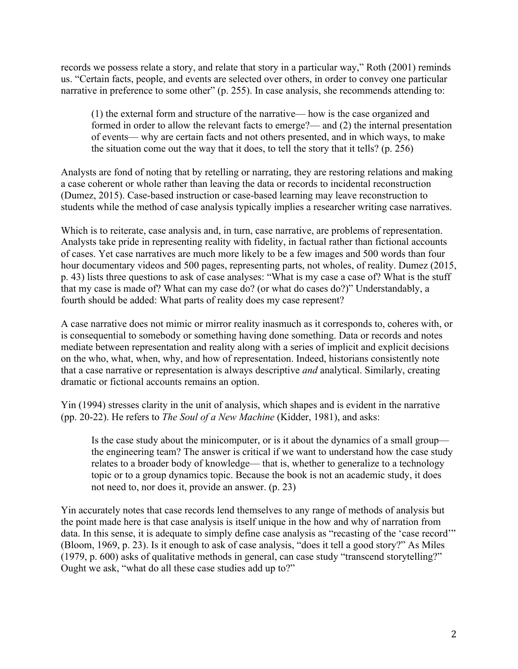records we possess relate a story, and relate that story in a particular way," Roth (2001) reminds us. "Certain facts, people, and events are selected over others, in order to convey one particular narrative in preference to some other" (p. 255). In case analysis, she recommends attending to:

(1) the external form and structure of the narrative— how is the case organized and formed in order to allow the relevant facts to emerge?— and (2) the internal presentation of events— why are certain facts and not others presented, and in which ways, to make the situation come out the way that it does, to tell the story that it tells? (p. 256)

Analysts are fond of noting that by retelling or narrating, they are restoring relations and making a case coherent or whole rather than leaving the data or records to incidental reconstruction (Dumez, 2015). Case-based instruction or case-based learning may leave reconstruction to students while the method of case analysis typically implies a researcher writing case narratives.

Which is to reiterate, case analysis and, in turn, case narrative, are problems of representation. Analysts take pride in representing reality with fidelity, in factual rather than fictional accounts of cases. Yet case narratives are much more likely to be a few images and 500 words than four hour documentary videos and 500 pages, representing parts, not wholes, of reality. Dumez (2015, p. 43) lists three questions to ask of case analyses: "What is my case a case of? What is the stuff that my case is made of? What can my case do? (or what do cases do?)" Understandably, a fourth should be added: What parts of reality does my case represent?

A case narrative does not mimic or mirror reality inasmuch as it corresponds to, coheres with, or is consequential to somebody or something having done something. Data or records and notes mediate between representation and reality along with a series of implicit and explicit decisions on the who, what, when, why, and how of representation. Indeed, historians consistently note that a case narrative or representation is always descriptive *and* analytical. Similarly, creating dramatic or fictional accounts remains an option.

Yin (1994) stresses clarity in the unit of analysis, which shapes and is evident in the narrative (pp. 20-22). He refers to *The Soul of a New Machine* (Kidder, 1981), and asks:

Is the case study about the minicomputer, or is it about the dynamics of a small group the engineering team? The answer is critical if we want to understand how the case study relates to a broader body of knowledge— that is, whether to generalize to a technology topic or to a group dynamics topic. Because the book is not an academic study, it does not need to, nor does it, provide an answer. (p. 23)

Yin accurately notes that case records lend themselves to any range of methods of analysis but the point made here is that case analysis is itself unique in the how and why of narration from data. In this sense, it is adequate to simply define case analysis as "recasting of the 'case record'" (Bloom, 1969, p. 23). Is it enough to ask of case analysis, "does it tell a good story?" As Miles (1979, p. 600) asks of qualitative methods in general, can case study "transcend storytelling?" Ought we ask, "what do all these case studies add up to?"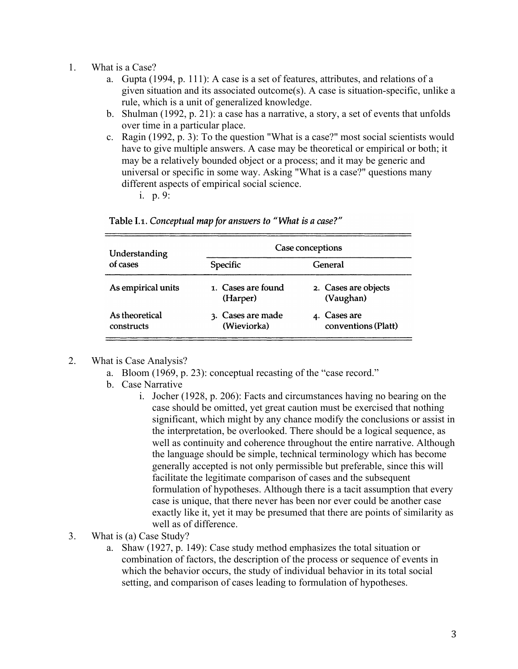- 1. What is a Case?
	- a. Gupta (1994, p. 111): A case is a set of features, attributes, and relations of a given situation and its associated outcome(s). A case is situation-specific, unlike a rule, which is a unit of generalized knowledge.
	- b. Shulman (1992, p. 21): a case has a narrative, a story, a set of events that unfolds over time in a particular place.
	- c. Ragin (1992, p. 3): To the question "What is a case?" most social scientists would have to give multiple answers. A case may be theoretical or empirical or both; it may be a relatively bounded object or a process; and it may be generic and universal or specific in some way. Asking "What is a case?" questions many different aspects of empirical social science.

i. p. 9:

| Understanding<br>of cases    | Case conceptions                 |                                     |
|------------------------------|----------------------------------|-------------------------------------|
|                              | Specific                         | General                             |
| As empirical units           | 1. Cases are found<br>(Harper)   | 2. Cases are objects<br>(Vaughan)   |
| As theoretical<br>constructs | 3. Cases are made<br>(Wieviorka) | 4. Cases are<br>conventions (Platt) |

Table I.1. Conceptual map for answers to "What is a case?"

## 2. What is Case Analysis?

- a. Bloom (1969, p. 23): conceptual recasting of the "case record."
- b. Case Narrative
	- i. Jocher (1928, p. 206): Facts and circumstances having no bearing on the case should be omitted, yet great caution must be exercised that nothing significant, which might by any chance modify the conclusions or assist in the interpretation, be overlooked. There should be a logical sequence, as well as continuity and coherence throughout the entire narrative. Although the language should be simple, technical terminology which has become generally accepted is not only permissible but preferable, since this will facilitate the legitimate comparison of cases and the subsequent formulation of hypotheses. Although there is a tacit assumption that every case is unique, that there never has been nor ever could be another case exactly like it, yet it may be presumed that there are points of similarity as well as of difference.
- 3. What is (a) Case Study?
	- a. Shaw (1927, p. 149): Case study method emphasizes the total situation or combination of factors, the description of the process or sequence of events in which the behavior occurs, the study of individual behavior in its total social setting, and comparison of cases leading to formulation of hypotheses.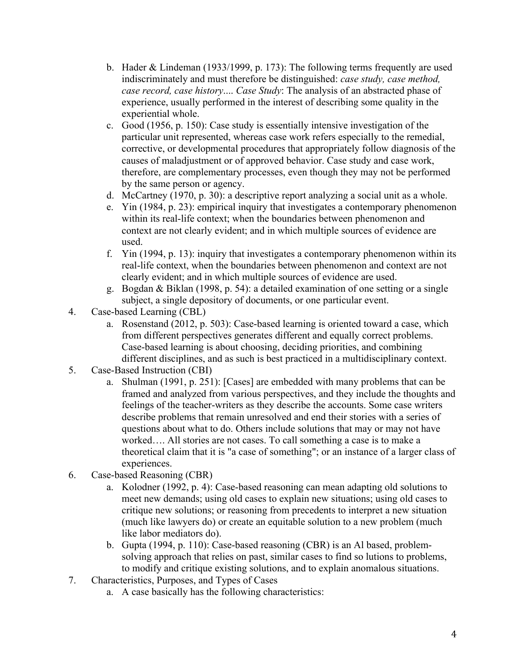- b. Hader & Lindeman (1933/1999, p. 173): The following terms frequently are used indiscriminately and must therefore be distinguished: *case study, case method, case record, case history*.... *Case Study*: The analysis of an abstracted phase of experience, usually performed in the interest of describing some quality in the experiential whole.
- c. Good (1956, p. 150): Case study is essentially intensive investigation of the particular unit represented, whereas case work refers especially to the remedial, corrective, or developmental procedures that appropriately follow diagnosis of the causes of maladjustment or of approved behavior. Case study and case work, therefore, are complementary processes, even though they may not be performed by the same person or agency.
- d. McCartney (1970, p. 30): a descriptive report analyzing a social unit as a whole.
- e. Yin (1984, p. 23): empirical inquiry that investigates a contemporary phenomenon within its real-life context; when the boundaries between phenomenon and context are not clearly evident; and in which multiple sources of evidence are used.
- f. Yin (1994, p. 13): inquiry that investigates a contemporary phenomenon within its real-life context, when the boundaries between phenomenon and context are not clearly evident; and in which multiple sources of evidence are used.
- g. Bogdan & Biklan (1998, p. 54): a detailed examination of one setting or a single subject, a single depository of documents, or one particular event.
- 4. Case-based Learning (CBL)
	- a. Rosenstand (2012, p. 503): Case-based learning is oriented toward a case, which from different perspectives generates different and equally correct problems. Case-based learning is about choosing, deciding priorities, and combining different disciplines, and as such is best practiced in a multidisciplinary context.
- 5. Case-Based Instruction (CBI)
	- a. Shulman (1991, p. 251): [Cases] are embedded with many problems that can be framed and analyzed from various perspectives, and they include the thoughts and feelings of the teacher-writers as they describe the accounts. Some case writers describe problems that remain unresolved and end their stories with a series of questions about what to do. Others include solutions that may or may not have worked…. All stories are not cases. To call something a case is to make a theoretical claim that it is "a case of something"; or an instance of a larger class of experiences.
- 6. Case-based Reasoning (CBR)
	- a. Kolodner (1992, p. 4): Case-based reasoning can mean adapting old solutions to meet new demands; using old cases to explain new situations; using old cases to critique new solutions; or reasoning from precedents to interpret a new situation (much like lawyers do) or create an equitable solution to a new problem (much like labor mediators do).
	- b. Gupta (1994, p. 110): Case-based reasoning (CBR) is an Al based, problemsolving approach that relies on past, similar cases to find so lutions to problems, to modify and critique existing solutions, and to explain anomalous situations.
- 7. Characteristics, Purposes, and Types of Cases
	- a. A case basically has the following characteristics: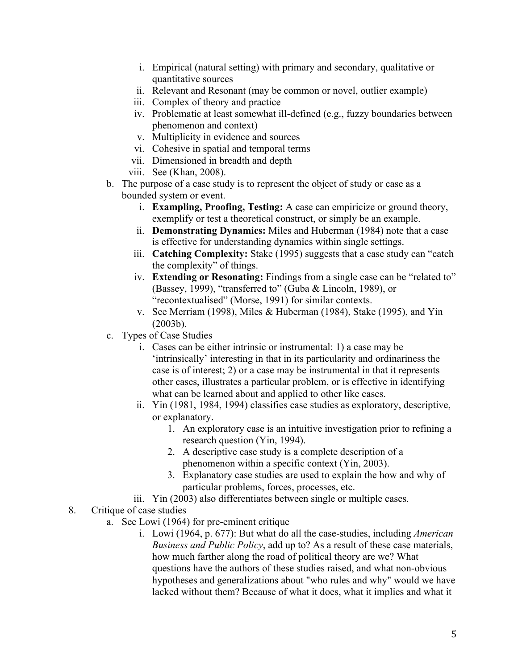- i. Empirical (natural setting) with primary and secondary, qualitative or quantitative sources
- ii. Relevant and Resonant (may be common or novel, outlier example)
- iii. Complex of theory and practice
- iv. Problematic at least somewhat ill-defined (e.g., fuzzy boundaries between phenomenon and context)
- v. Multiplicity in evidence and sources
- vi. Cohesive in spatial and temporal terms
- vii. Dimensioned in breadth and depth
- viii. See (Khan, 2008).
- b. The purpose of a case study is to represent the object of study or case as a bounded system or event.
	- i. **Exampling, Proofing, Testing:** A case can empiricize or ground theory, exemplify or test a theoretical construct, or simply be an example.
	- ii. **Demonstrating Dynamics:** Miles and Huberman (1984) note that a case is effective for understanding dynamics within single settings.
	- iii. **Catching Complexity:** Stake (1995) suggests that a case study can "catch the complexity" of things.
	- iv. **Extending or Resonating:** Findings from a single case can be "related to" (Bassey, 1999), "transferred to" (Guba & Lincoln, 1989), or "recontextualised" (Morse, 1991) for similar contexts.
	- v. See Merriam (1998), Miles & Huberman (1984), Stake (1995), and Yin (2003b).
- c. Types of Case Studies
	- i. Cases can be either intrinsic or instrumental: 1) a case may be 'intrinsically' interesting in that in its particularity and ordinariness the case is of interest; 2) or a case may be instrumental in that it represents other cases, illustrates a particular problem, or is effective in identifying what can be learned about and applied to other like cases.
	- ii. Yin (1981, 1984, 1994) classifies case studies as exploratory, descriptive, or explanatory.
		- 1. An exploratory case is an intuitive investigation prior to refining a research question (Yin, 1994).
		- 2. A descriptive case study is a complete description of a phenomenon within a specific context (Yin, 2003).
		- 3. Explanatory case studies are used to explain the how and why of particular problems, forces, processes, etc.
	- iii. Yin (2003) also differentiates between single or multiple cases.
- 8. Critique of case studies
	- a. See Lowi (1964) for pre-eminent critique
		- i. Lowi (1964, p. 677): But what do all the case-studies, including *American Business and Public Policy*, add up to? As a result of these case materials, how much farther along the road of political theory are we? What questions have the authors of these studies raised, and what non-obvious hypotheses and generalizations about "who rules and why" would we have lacked without them? Because of what it does, what it implies and what it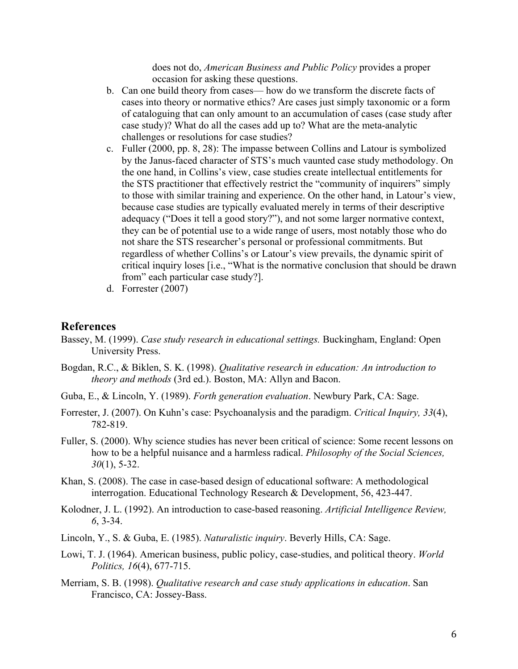does not do, *American Business and Public Policy* provides a proper occasion for asking these questions.

- b. Can one build theory from cases— how do we transform the discrete facts of cases into theory or normative ethics? Are cases just simply taxonomic or a form of cataloguing that can only amount to an accumulation of cases (case study after case study)? What do all the cases add up to? What are the meta-analytic challenges or resolutions for case studies?
- c. Fuller (2000, pp. 8, 28): The impasse between Collins and Latour is symbolized by the Janus-faced character of STS's much vaunted case study methodology. On the one hand, in Collins's view, case studies create intellectual entitlements for the STS practitioner that effectively restrict the "community of inquirers" simply to those with similar training and experience. On the other hand, in Latour's view, because case studies are typically evaluated merely in terms of their descriptive adequacy ("Does it tell a good story?"), and not some larger normative context, they can be of potential use to a wide range of users, most notably those who do not share the STS researcher's personal or professional commitments. But regardless of whether Collins's or Latour's view prevails, the dynamic spirit of critical inquiry loses [i.e., "What is the normative conclusion that should be drawn from" each particular case study?].
- d. Forrester (2007)

## **References**

- Bassey, M. (1999). *Case study research in educational settings.* Buckingham, England: Open University Press.
- Bogdan, R.C., & Biklen, S. K. (1998). *Qualitative research in education: An introduction to theory and methods* (3rd ed.). Boston, MA: Allyn and Bacon.
- Guba, E., & Lincoln, Y. (1989). *Forth generation evaluation*. Newbury Park, CA: Sage.
- Forrester, J. (2007). On Kuhn's case: Psychoanalysis and the paradigm. *Critical Inquiry, 33*(4), 782-819.
- Fuller, S. (2000). Why science studies has never been critical of science: Some recent lessons on how to be a helpful nuisance and a harmless radical. *Philosophy of the Social Sciences, 30*(1), 5-32.
- Khan, S. (2008). The case in case-based design of educational software: A methodological interrogation. Educational Technology Research & Development, 56, 423-447.
- Kolodner, J. L. (1992). An introduction to case-based reasoning. *Artificial Intelligence Review, 6*, 3-34.
- Lincoln, Y., S. & Guba, E. (1985). *Naturalistic inquiry*. Beverly Hills, CA: Sage.
- Lowi, T. J. (1964). American business, public policy, case-studies, and political theory. *World Politics, 16*(4), 677-715.
- Merriam, S. B. (1998). *Qualitative research and case study applications in education*. San Francisco, CA: Jossey-Bass.